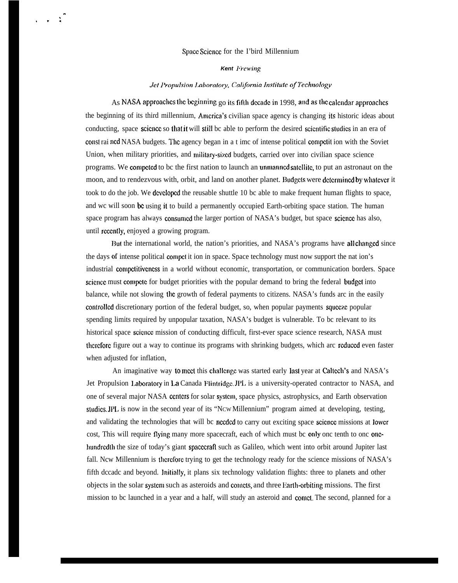## Spacz Scicncc for the I'bird Millennium

. . . . .

## **Kent** Frewing

## Jet Propulsion Laboratory, California Institute of Technology

As NASA approaches the beginning go its fifth decade in 1998, and as the calcndar approaches the beginning of its third millennium, America's civilian space agency is changing its historic ideas about conducting, space science so that it will still be able to perform the desired scientific studies in an era of const rai ncd NASA budgets. The agency began in a t imc of intense political compctit ion with the Soviet Union, when military priorities, and military-sized budgets, carried over into civilian space science programs. We competed to be the first nation to launch an unmanned satellite, to put an astronaut on the moon, and to rendezvous with, orbit, and land on another planet. Budgets were dctcrmined by whatever it took to do the job. We dcvclopcd the reusable shuttle 10 bc able to make frequent human flights to space, and wc will soon be using it to build a permanently occupied Earth-orbiting space station. The human space program has always consumed the larger portion of NASA's budget, but space science has also, until rcccntly, enjoyed a growing program.

But the international world, the nation's priorities, and NASA's programs have all changed since the days of intense political compet it ion in space. Space technology must now support the nat ion's industrial competitiveness in a world without economic, transportation, or communication borders. Space science must compete for budget priorities with the popular demand to bring the federal budget into balance, while not slowing Ihc growth of federal payments to citizens. NASA's funds arc in the easily controlled discretionary portion of the federal budget, so, when popular payments squeeze popular spending limits required by unpopular taxation, NASA's budget is vulnerable. To bc relevant to its historical space science mission of conducting difficult, first-ever space science research, NASA must thcrcforc figure out a way to continue its programs with shrinking budgets, which arc rcduccd even faster when adjusted for inflation,

An imaginative way to meet this challenge was started early last year at Caltech's and NASA's Jet Propulsion Laboratory in La Canada Flintridge. JPL is a university-operated contractor to NASA, and one of several major NASA ccntcrs for solar systcm, space physics, astrophysics, and Earth observation studics. JPL, is now in the second year of its "NCw Millennium" program aimed at developing, testing, and validating the technologies that will bc nccdcd to carry out exciting space scicncc missions at Iowcr cost, This will require flying many more spacecraft, each of which must bc only onc tenth to onconcehundredth the size of today's giant spacecraft such as Galileo, which went into orbit around Jupiter last fall. Ncw Millennium is therefore trying to get the technology ready for the science missions of NASA's fifth dccadc and beyond. Initially, it plans six technology validation flights: three to planets and other objects in the solar system such as asteroids and comets, and three Earth-orbiting missions. The first mission to bc launched in a year and a half, will study an asteroid and comet. The second, planned for a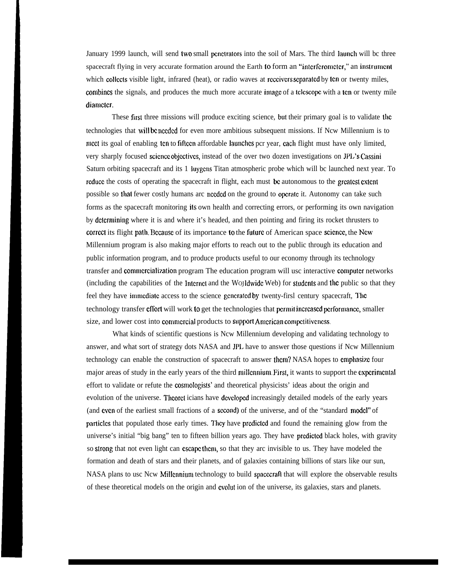January 1999 launch, will send two small penetrators into the soil of Mars. The third launch will be three spacecraft flying in very accurate formation around the Earth to form an "interferomcter," an instrument which collects visible light, infrared (heat), or radio waves at receivers separated by ten or twenty miles, combines the signals, and produces the much more accurate image of a telescope with a ten or twenty mile diamcter.

These first three missions will produce exciting science, but their primary goal is to validate lhc technologies that will bc nccdcd for even more ambitious subsequent missions. If Ncw Millennium is to meet its goal of enabling ten to fifteen affordable launches per year, each flight must have only limited, very sharply focused science objectives, instead of the over two dozen investigations on JPL's Cassini Saturn orbiting spacecraft and its 1 Iuygcns Titan atmospheric probe which will bc launched next year. To reduce the costs of operating the spacecraft in flight, each must be autonomous to the greatest extent possible so that fewer costly humans arc needed on the ground to operate it. Autonomy can take such forms as the spacecraft monitoring ils own health and correcting errors, or performing its own navigation by dclcrrnining where it is and where it's headed, and then pointing and firing its rocket thrusters to correct its flight path. Because of its importance to the future of American space science, the New Millennium program is also making major efforts to reach out to the public through its education and public information program, and to produce products useful to our economy through its technology transfer and commercialization program The education program will usc interactive computer networks (including the capabilities of the Internet and the WoJ dwide Web) for students and the public so that they feel they have immediate access to the science generated by twenty-firsl century spacecraft, The technology transfer cflort will work to get the technologies that pcrrnit incrcascd pcrformancz, smaller size, and lower cost into commercial products to support American competitiveness.

What kinds of scientific questions is Ncw Millennium developing and validating technology to answer, and what sort of strategy dots NASA and JPL have to answer those questions if Ncw Millennium technology can enable the construction of spacecraft to answer them? NASA hopes to emphasize four major areas of study in the early years of the third millennium. First, it wants to support the experimental effort to validate or refute the cosmologists' and theoretical physicists' ideas about the origin and evolution of the universe. Thcorct icians have dcvclopcd increasingly detailed models of the early years (and even of the earliest small fractions of a second) of the universe, and of the "standard model" of particles that populated those early times. They have predicted and found the remaining glow from the universe's initial "big bang" ten to fifteen billion years ago. They have prcdictcd black holes, with gravity so strong that not even light can cscapc thcrn, so that they arc invisible to us. They have modeled the formation and death of stars and their planets, and of galaxies containing billions of stars like our sun, NASA plans to usc Ncw Millennium technology to build spacecraft that will explore the observable results of these theoretical models on the origin and cvolut ion of the universe, its galaxies, stars and planets.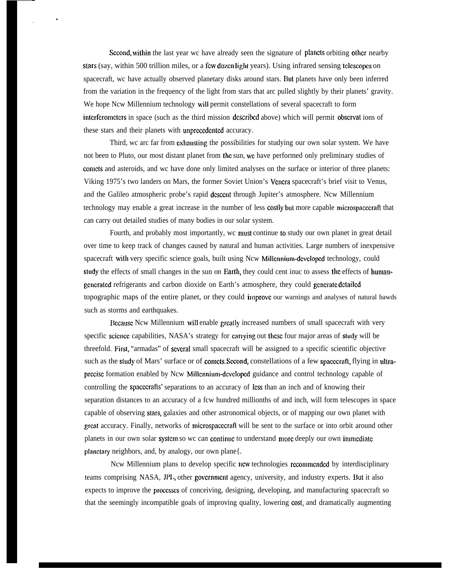Second, within the last year wc have already seen the signature of planets orbiting other nearby stars (say, within 500 trillion miles, or a few dozen light years). Using infrared sensing telescopes on spacecraft, wc have actually observed planetary disks around stars. But planets have only been inferred from the variation in the frequency of the light from stars that arc pulled slightly by their planets' gravity. We hope Ncw Millennium technology will permit constellations of several spacecraft to form intcrfcromctcrs in space (such as the third mission dcscribcd above) which will permit obscrvat ions of these stars and their planets with unprcccdcntcd accuracy.

●

Third, we arc far from exhausting the possibilities for studying our own solar system. We have not been to Pluto, our most distant planet from the sun, wc have performed only preliminary studies of comets and asteroids, and wc have done only limited analyses on the surface or interior of three planets: Viking 1975's two landers on Mars, the former Soviet Union's Vcncra spacecraft's brief visit to Venus, and the Galileo atmospheric probe's rapid dcsccnt through Jupiter's atmosphere. Ncw Millennium technology may enable a great increase in the number of less costly but more capable microspacccraft that can carry out detailed studies of many bodies in our solar system.

Fourth, and probably most importantly, wc musl continue to study our own planet in great detail over time to keep track of changes caused by natural and human activities. Large numbers of inexpensive spacecraft with very specific science goals, built using Ncw Millennium-developed technology, could study the effects of small changes in the sun on Earth, they could cent inuc to assess the effects of humangenerated refrigerants and carbon dioxide on Earth's atmosphere, they could generate detailed topographic maps of the entire planet, or they could **improve** our warnings and analyses of natural bawds such as storms and earthquakes.

Recause Ncw Millennium will enable greatly increased numbers of small spacecraft with very specific science capabilities, NASA's strategy for carrying out these four major areas of study will be threefold. First, "armadas" of scvcraI small spacecraft will be assigned to a specific scientific objective such as the study of Mars' surface or of comets. Second, constellations of a few spacecraft, flying in ultraprecise formation enabled by Ncw Millennium-developed guidance and control technology capable of controlling the spacccrafts' separations to an accuracy of less than an inch and of knowing their separation distances to an accuracy of a fcw hundred millionths of and inch, will form telescopes in space capable of observing slars, galaxies and other astronomical objects, or of mapping our own planet with great accuracy. Finally, networks of microspacccrafi will be sent to the surface or into orbit around other planets in our own solar system so we can continue to understand more deeply our own immediate planctary neighbors, and, by analogy, our own plane{.

Ncw Millennium plans to develop specific ncw technologies rccommcndcd by interdisciplinary teams comprising NASA, JPL, other government agency, university, and industry experts. But it also expects to improve the proccsscs of conceiving, designing, developing, and manufacturing spacecraft so that the seemingly incompatible goals of improving quality, lowering cost, and dramatically augmenting